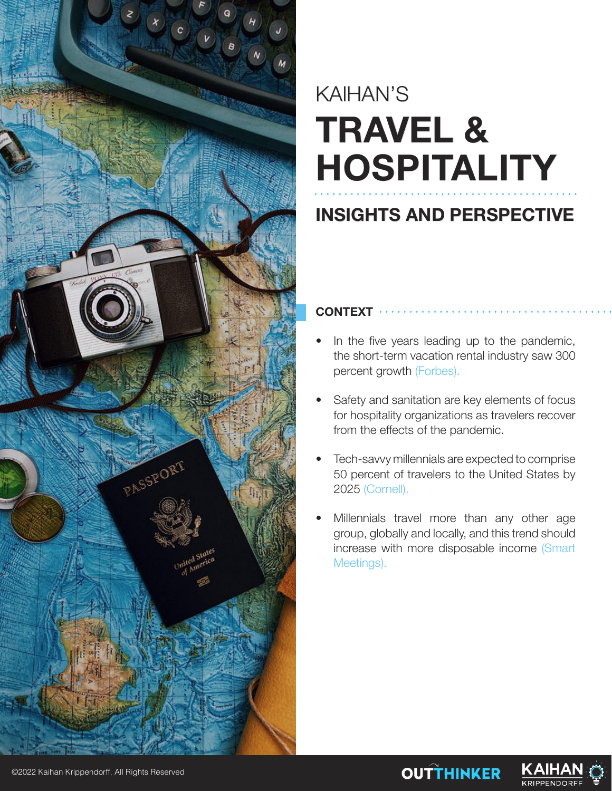

# KAIHAN'S **TRAVEL & HOSPITALITY**

## **INSIGHTS AND PERSPECTIVE**

### **CONTEXT**

- In the five years leading up to the pandemic, the short-term vacation rental industry saw 300 percent growth (Forbes).
- Safety and sanitation are key elements of focus for hospitality organizations as travelers recover from the effects of the pandemic.
- Tech-savvy millennials are expected to comprise 50 percent of travelers to the United States by 2025 (Cornell).
- Millennials travel more than any other age group, globally and locally, and this trend should increase with more disposable income (Smart Meetings).

**OUTTHINKER** 

KAIHA **KRIPPENDORI** 

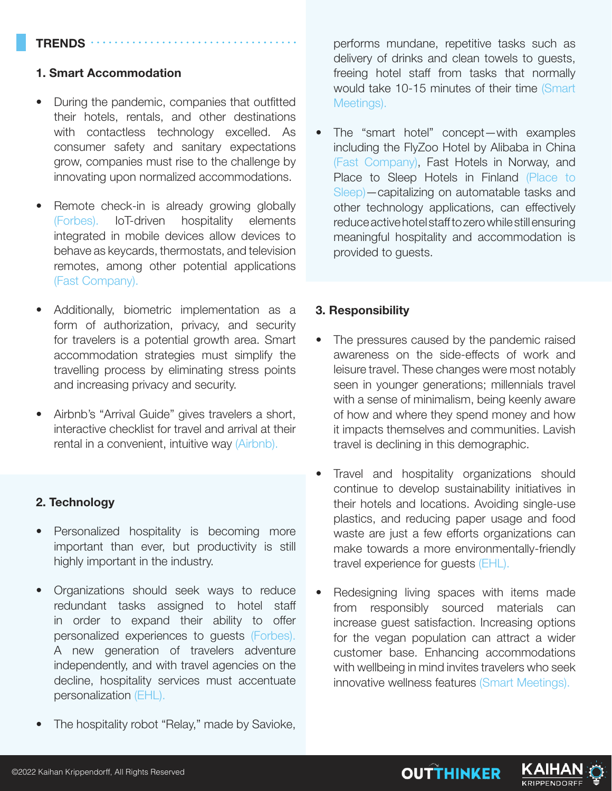#### **TRENDS**

#### **1. Smart Accommodation**

- During the pandemic, companies that outfitted their hotels, rentals, and other destinations with contactless technology excelled. As consumer safety and sanitary expectations grow, companies must rise to the challenge by innovating upon normalized accommodations.
- Remote check-in is already growing globally (Forbes). IoT-driven hospitality elements integrated in mobile devices allow devices to behave as keycards, thermostats, and television remotes, among other potential applications (Fast Company).
- Additionally, biometric implementation as a form of authorization, privacy, and security for travelers is a potential growth area. Smart accommodation strategies must simplify the travelling process by eliminating stress points and increasing privacy and security.
- Airbnb's "Arrival Guide" gives travelers a short, interactive checklist for travel and arrival at their rental in a convenient, intuitive way (Airbnb).

#### **2. Technology**

- Personalized hospitality is becoming more important than ever, but productivity is still highly important in the industry.
- Organizations should seek ways to reduce redundant tasks assigned to hotel staff in order to expand their ability to offer personalized experiences to guests (Forbes). A new generation of travelers adventure independently, and with travel agencies on the decline, hospitality services must accentuate personalization (EHL).
- The hospitality robot "Relay," made by Savioke,

performs mundane, repetitive tasks such as delivery of drinks and clean towels to guests, freeing hotel staff from tasks that normally would take 10-15 minutes of their time (Smart Meetings).

• The "smart hotel" concept—with examples including the FlyZoo Hotel by Alibaba in China (Fast Company), Fast Hotels in Norway, and Place to Sleep Hotels in Finland (Place to Sleep)—capitalizing on automatable tasks and other technology applications, can effectively reduce active hotel staff to zero while still ensuring meaningful hospitality and accommodation is provided to guests.

#### **3. Responsibility**

- The pressures caused by the pandemic raised awareness on the side-effects of work and leisure travel. These changes were most notably seen in younger generations; millennials travel with a sense of minimalism, being keenly aware of how and where they spend money and how it impacts themselves and communities. Lavish travel is declining in this demographic.
- Travel and hospitality organizations should continue to develop sustainability initiatives in their hotels and locations. Avoiding single-use plastics, and reducing paper usage and food waste are just a few efforts organizations can make towards a more environmentally-friendly travel experience for guests (EHL).
- Redesigning living spaces with items made from responsibly sourced materials can increase guest satisfaction. Increasing options for the vegan population can attract a wider customer base. Enhancing accommodations with wellbeing in mind invites travelers who seek innovative wellness features (Smart Meetings).

**OUTTHINKER** 

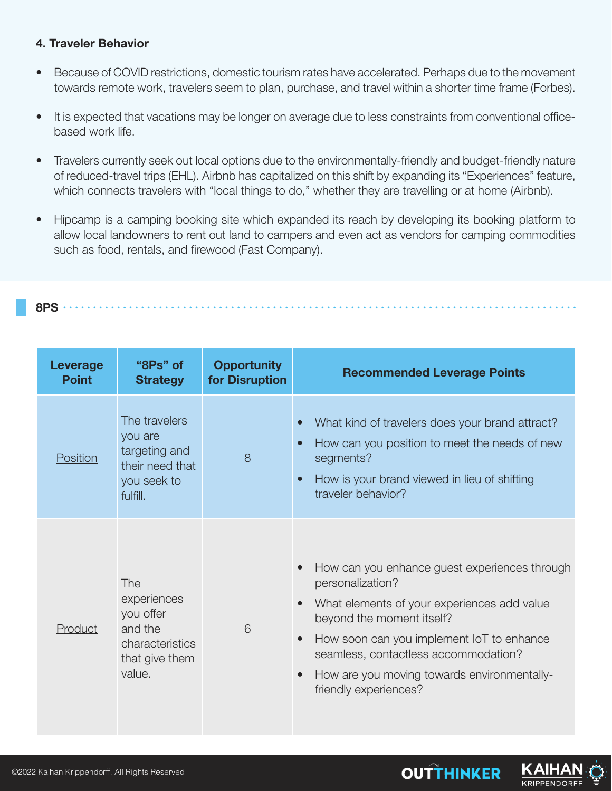#### **4. Traveler Behavior**

- Because of COVID restrictions, domestic tourism rates have accelerated. Perhaps due to the movement towards remote work, travelers seem to plan, purchase, and travel within a shorter time frame (Forbes).
- It is expected that vacations may be longer on average due to less constraints from conventional officebased work life.
- Travelers currently seek out local options due to the environmentally-friendly and budget-friendly nature of reduced-travel trips (EHL). Airbnb has capitalized on this shift by expanding its "Experiences" feature, which connects travelers with "local things to do," whether they are travelling or at home (Airbnb).
- Hipcamp is a camping booking site which expanded its reach by developing its booking platform to allow local landowners to rent out land to campers and even act as vendors for camping commodities such as food, rentals, and firewood (Fast Company).

**8PS**

| Leverage<br><b>Point</b> | "8Ps" of<br><b>Strategy</b>                                                               | <b>Opportunity</b><br>for Disruption | <b>Recommended Leverage Points</b>                                                                                                                                                                                                                                                                         |
|--------------------------|-------------------------------------------------------------------------------------------|--------------------------------------|------------------------------------------------------------------------------------------------------------------------------------------------------------------------------------------------------------------------------------------------------------------------------------------------------------|
| <b>Position</b>          | The travelers<br>you are<br>targeting and<br>their need that<br>you seek to<br>fulfill.   | 8                                    | What kind of travelers does your brand attract?<br>How can you position to meet the needs of new<br>$\bullet$<br>segments?<br>How is your brand viewed in lieu of shifting<br>$\bullet$<br>traveler behavior?                                                                                              |
| Product                  | The<br>experiences<br>you offer<br>and the<br>characteristics<br>that give them<br>value. | 6                                    | How can you enhance guest experiences through<br>personalization?<br>What elements of your experiences add value<br>beyond the moment itself?<br>How soon can you implement IoT to enhance<br>seamless, contactless accommodation?<br>How are you moving towards environmentally-<br>friendly experiences? |

**OUTTHINKER** 

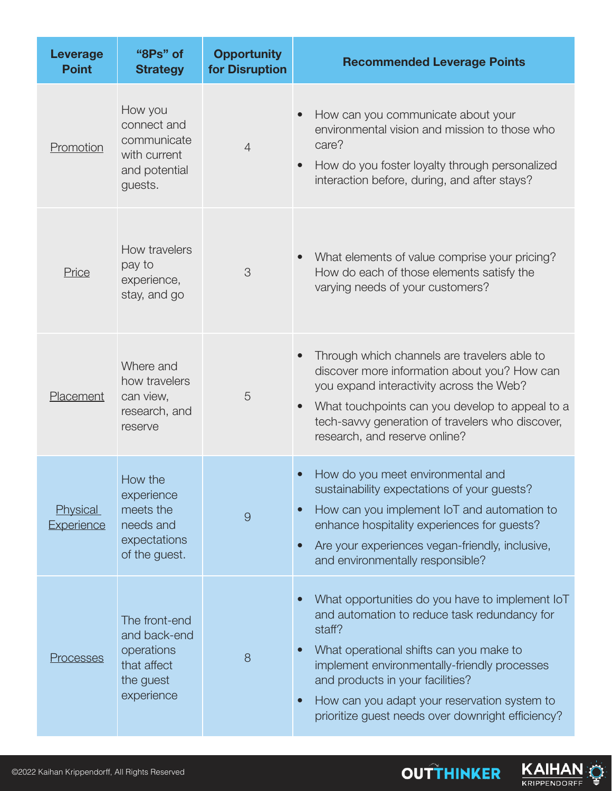| <b>Leverage</b><br><b>Point</b> | "8Ps" of<br><b>Strategy</b>                                                           | <b>Opportunity</b><br>for Disruption | <b>Recommended Leverage Points</b>                                                                                                                                                                                                                                                                                                                                                   |
|---------------------------------|---------------------------------------------------------------------------------------|--------------------------------------|--------------------------------------------------------------------------------------------------------------------------------------------------------------------------------------------------------------------------------------------------------------------------------------------------------------------------------------------------------------------------------------|
| Promotion                       | How you<br>connect and<br>communicate<br>with current<br>and potential<br>guests.     | $\overline{4}$                       | How can you communicate about your<br>environmental vision and mission to those who<br>care?<br>How do you foster loyalty through personalized<br>$\bullet$<br>interaction before, during, and after stays?                                                                                                                                                                          |
| Price                           | How travelers<br>pay to<br>experience,<br>stay, and go                                | 3                                    | What elements of value comprise your pricing?<br>$\bullet$<br>How do each of those elements satisfy the<br>varying needs of your customers?                                                                                                                                                                                                                                          |
| Placement                       | Where and<br>how travelers<br>can view,<br>research, and<br>reserve                   | 5                                    | Through which channels are travelers able to<br>discover more information about you? How can<br>you expand interactivity across the Web?<br>What touchpoints can you develop to appeal to a<br>$\bullet$<br>tech-savvy generation of travelers who discover,<br>research, and reserve online?                                                                                        |
| <b>Physical</b><br>Experience   | How the<br>experience<br>meets the<br>needs and<br>expectations<br>of the guest.      | $\overline{9}$                       | How do you meet environmental and<br>$\bullet$<br>sustainability expectations of your guests?<br>How can you implement IoT and automation to<br>$\bullet$<br>enhance hospitality experiences for guests?<br>Are your experiences vegan-friendly, inclusive,<br>$\bullet$<br>and environmentally responsible?                                                                         |
| Processes                       | The front-end<br>and back-end<br>operations<br>that affect<br>the guest<br>experience | 8                                    | What opportunities do you have to implement loT<br>$\bullet$<br>and automation to reduce task redundancy for<br>staff?<br>What operational shifts can you make to<br>$\bullet$<br>implement environmentally-friendly processes<br>and products in your facilities?<br>How can you adapt your reservation system to<br>$\bullet$<br>prioritize guest needs over downright efficiency? |

**OUTTHINKER** 

KAIHAN